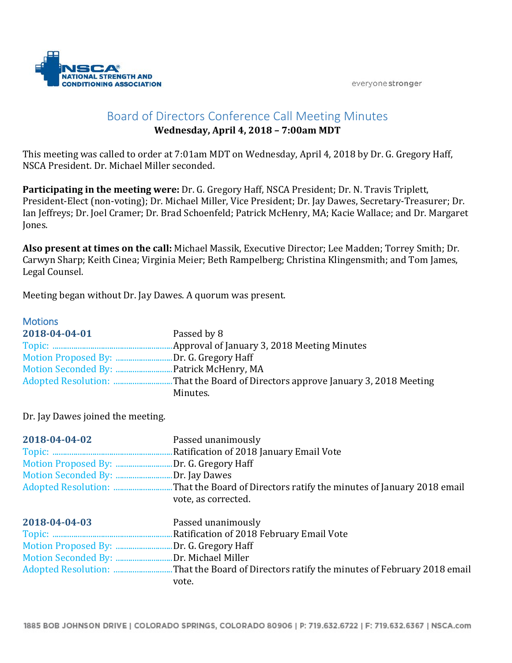

# Board of Directors Conference Call Meeting Minutes

## **Wednesday, April 4, 2018 – 7:00am MDT**

This meeting was called to order at 7:01am MDT on Wednesday, April 4, 2018 by Dr. G. Gregory Haff, NSCA President. Dr. Michael Miller seconded.

**Participating in the meeting were:** Dr. G. Gregory Haff, NSCA President; Dr. N. Travis Triplett, President-Elect (non-voting); Dr. Michael Miller, Vice President; Dr. Jay Dawes, Secretary-Treasurer; Dr. Ian Jeffreys; Dr. Joel Cramer; Dr. Brad Schoenfeld; Patrick McHenry, MA; Kacie Wallace; and Dr. Margaret Jones.

**Also present at times on the call:** Michael Massik, Executive Director; Lee Madden; Torrey Smith; Dr. Carwyn Sharp; Keith Cinea; Virginia Meier; Beth Rampelberg; Christina Klingensmith; and Tom James, Legal Counsel.

Meeting began without Dr. Jay Dawes. A quorum was present.

## **Motions**

| 2018-04-04-01                           | Passed by 8 |
|-----------------------------------------|-------------|
| Motion Proposed By: Dr. G. Gregory Haff |             |
|                                         |             |
|                                         | Minutes.    |

Dr. Jay Dawes joined the meeting.

| 2018-04-04-02                           | Passed unanimously                        |
|-----------------------------------------|-------------------------------------------|
|                                         |                                           |
| Motion Proposed By: Dr. G. Gregory Haff |                                           |
| Motion Seconded By: Dr. Jay Dawes       |                                           |
|                                         |                                           |
|                                         | vote, as corrected.                       |
| 2018-04-04-03                           | Passed unanimously                        |
|                                         | Ratification of 2018 February Email Vote. |
| Motion Proposed By: Dr. G. Gregory Haff |                                           |
| Motion Seconded By: Dr. Michael Miller  |                                           |
|                                         |                                           |
|                                         | vote.                                     |

1885 BOB JOHNSON DRIVE | COLORADO SPRINGS, COLORADO 80906 | P: 719.632.6722 | F: 719.632.6367 | NSCA.com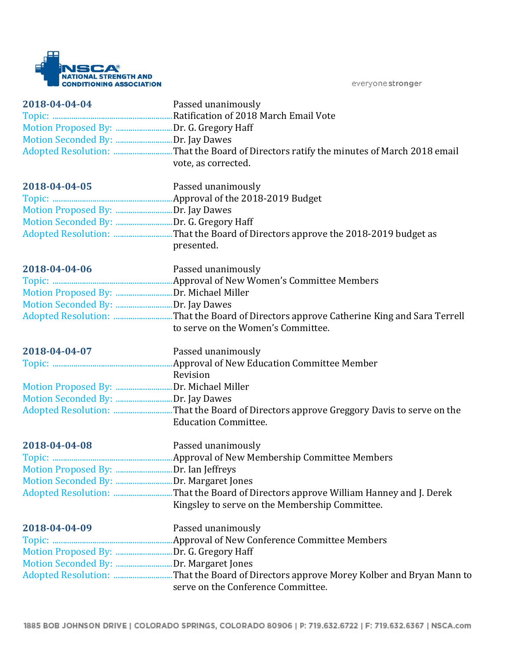

| 2018-04-04-04<br>Motion Seconded By: Dr. Jay Dawes | Passed unanimously<br>vote, as corrected.                                                                                     |
|----------------------------------------------------|-------------------------------------------------------------------------------------------------------------------------------|
| 2018-04-04-05                                      | Passed unanimously                                                                                                            |
|                                                    |                                                                                                                               |
| Motion Proposed By: Dr. Jay Dawes                  |                                                                                                                               |
|                                                    |                                                                                                                               |
|                                                    | Adopted Resolution: That the Board of Directors approve the 2018-2019 budget as<br>presented.                                 |
| 2018-04-04-06                                      | Passed unanimously                                                                                                            |
|                                                    |                                                                                                                               |
|                                                    |                                                                                                                               |
|                                                    |                                                                                                                               |
|                                                    | Adopted Resolution: That the Board of Directors approve Catherine King and Sara Terrell<br>to serve on the Women's Committee. |
| 2018-04-04-07                                      | Passed unanimously                                                                                                            |
|                                                    |                                                                                                                               |
|                                                    | Revision                                                                                                                      |
|                                                    |                                                                                                                               |
| Motion Seconded By: Dr. Jay Dawes                  |                                                                                                                               |
|                                                    | <b>Education Committee.</b>                                                                                                   |
| 2018-04-04-08                                      | Passed unanimously                                                                                                            |
|                                                    |                                                                                                                               |
| Motion Proposed By: Dr. Ian Jeffreys               |                                                                                                                               |
|                                                    |                                                                                                                               |
|                                                    |                                                                                                                               |
|                                                    | Kingsley to serve on the Membership Committee.                                                                                |
| 2018-04-04-09                                      | Passed unanimously                                                                                                            |
|                                                    |                                                                                                                               |
| Motion Proposed By: Dr. G. Gregory Haff            |                                                                                                                               |
| Motion Seconded By: Dr. Margaret Jones             |                                                                                                                               |
|                                                    | serve on the Conference Committee.                                                                                            |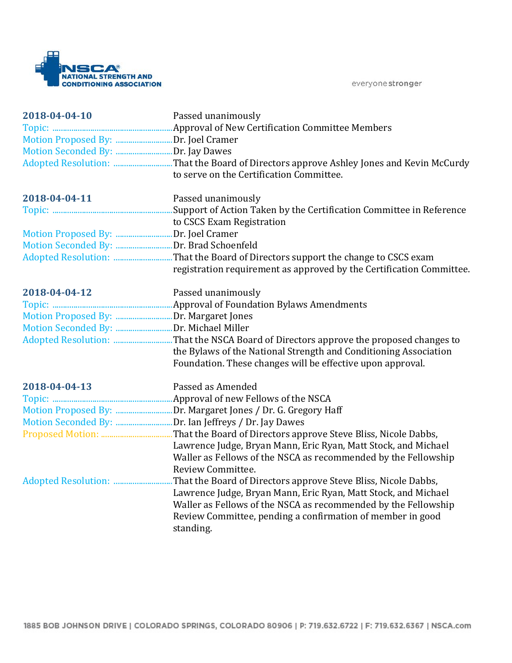

| 2018-04-04-10<br>Motion Proposed By: Dr. Joel Cramer<br>Motion Seconded By: Dr. Jay Dawes | Passed unanimously<br>to serve on the Certification Committee.                                                                 |
|-------------------------------------------------------------------------------------------|--------------------------------------------------------------------------------------------------------------------------------|
| 2018-04-04-11                                                                             | Passed unanimously                                                                                                             |
|                                                                                           | to CSCS Exam Registration                                                                                                      |
| Motion Proposed By: Dr. Joel Cramer                                                       |                                                                                                                                |
|                                                                                           |                                                                                                                                |
|                                                                                           |                                                                                                                                |
|                                                                                           | registration requirement as approved by the Certification Committee.                                                           |
| 2018-04-04-12                                                                             | Passed unanimously                                                                                                             |
|                                                                                           |                                                                                                                                |
|                                                                                           |                                                                                                                                |
|                                                                                           |                                                                                                                                |
|                                                                                           | the Bylaws of the National Strength and Conditioning Association<br>Foundation. These changes will be effective upon approval. |
| 2018-04-04-13                                                                             | Passed as Amended                                                                                                              |
|                                                                                           |                                                                                                                                |
|                                                                                           |                                                                                                                                |
|                                                                                           |                                                                                                                                |
|                                                                                           |                                                                                                                                |
|                                                                                           | Lawrence Judge, Bryan Mann, Eric Ryan, Matt Stock, and Michael                                                                 |
|                                                                                           | Waller as Fellows of the NSCA as recommended by the Fellowship                                                                 |
|                                                                                           | Review Committee.                                                                                                              |
|                                                                                           | That the Board of Directors approve Steve Bliss, Nicole Dabbs,                                                                 |
|                                                                                           | Lawrence Judge, Bryan Mann, Eric Ryan, Matt Stock, and Michael                                                                 |
|                                                                                           | Waller as Fellows of the NSCA as recommended by the Fellowship                                                                 |
|                                                                                           | Review Committee, pending a confirmation of member in good                                                                     |
|                                                                                           | standing.                                                                                                                      |